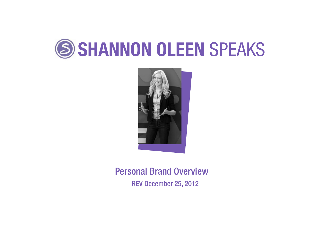



Personal Brand Overview REV December 25, 2012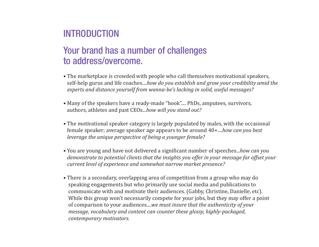## INTRODUCTION

## Your brand has a number of challenges to address/overcome.

- The marketplace is crowded with people who call themselves motivational speakers, self-help gurus and life coaches....*how do you establish and grow your credibility amid the experts and distance yourself from wanna-be's lacking in solid, useful messages?*
- Many of the speakers have a ready-made "hook".... PhDs, amputees, survivors, authors, athletes and past CEOs...*how will you stand out?*
- The motivational speaker category is largely populated by males, with the occasional female speaker; average speaker age appears to be around 40+....*how can you best leverage the unique perspective of being a younger female?*
- You are young and have not delivered a significant number of speeches...*how can you demonstrate to potential clients that the insights you offer in your message far offset your current level of experience and somewhat narrow market presence?*
- There is a secondary, overlapping area of competition from a group who may do speaking engagements but who primarily use social media and publications to communicate with and motivate their audiences. (Gabby, Christine, Danielle, etc). While this group won't necessarily compete for your jobs, but they may offer a point of comparison to your audiences....*we must insure that the authenticity of your message, vocabulary and content can counter these glossy, highly-packaged, contemporary motivators.*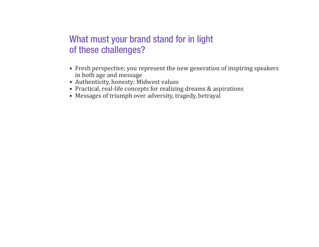## What must your brand stand for in light of these challenges?

- Fresh perspective; you represent the new generation of inspiring speakers in both age and message
- Authenticity, honesty; Midwest values
- Practical, real-life concepts for realizing dreams & aspirations
- Messages of triumph over adversity, tragedy, betrayal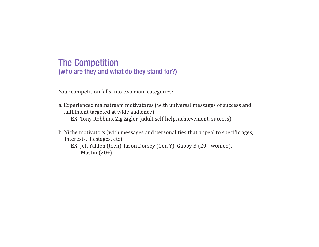### The Competition (who are they and what do they stand for?)

Your competition falls into two main categories:

a. Experienced mainstream motivatorss (with universal messages of success and fulfillment targeted at wide audience) EX: Tony Robbins, Zig Zigler (adult self-help, achievement, success)

b. Niche motivators (with messages and personalities that appeal to specific ages, interests, lifestages, etc) EX: Jeff Yalden (teen), Jason Dorsey (Gen Y), Gabby B (20+ women), Mastin (20+)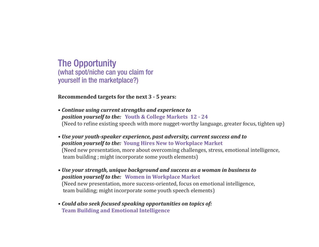The Opportunity (what spot/niche can you claim for yourself in the marketplace?)

**Recommended targets for the next 3 - 5 years:**

- *Continue using current strengths and experience to position yourself to the:* **Youth & College Markets 12 - 24** (Need to refine existing speech with more nugget-worthy language, greater focus, tighten up)
- *Use your youth-speaker experience, past adversity, current success and to position yourself to the:* **Young Hires New to Workplace Market**  (Need new presentation, more about overcoming challenges, stress, emotional intelligence, team building ; might incorporate some youth elements)
- *Use your strength, unique background and success as a woman in business to position yourself to the:* **Women in Workplace Market**  (Need new presentation, more success-oriented, focus on emotional intelligence, team building; might incorporate some youth speech elements)
- *Could also seek focused speaking opportunities on topics of:* **Team Building and Emotional Intelligence**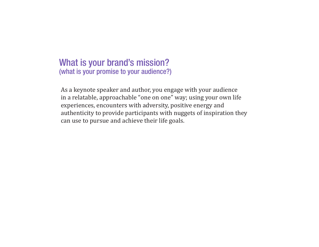### What is your brand's mission? (what is your promise to your audience?)

As a keynote speaker and author, you engage with your audience in a relatable, approachable "one on one" way; using your own life experiences, encounters with adversity, positive energy and authenticity to provide participants with nuggets of inspiration they can use to pursue and achieve their life goals.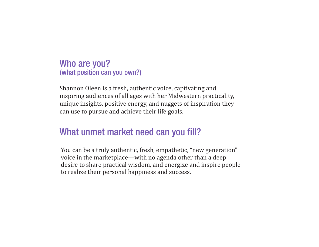Who are you? (what position can you own?)

Shannon Oleen is a fresh, authentic voice, captivating and inspiring audiences of all ages with her Midwestern practicality, unique insights, positive energy, and nuggets of inspiration they can use to pursue and achieve their life goals.

### What unmet market need can you fill?

You can be a truly authentic, fresh, empathetic, "new generation" voice in the marketplace—with no agenda other than a deep desire to share practical wisdom, and energize and inspire people to realize their personal happiness and success.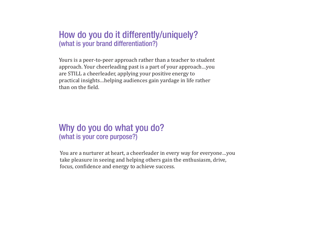### How do you do it differently/uniquely? (what is your brand differentiation?)

Yours is a peer-to-peer approach rather than a teacher to student approach. Your cheerleading past is a part of your approach…you are STILL a cheerleader, applying your positive energy to practical insights…helping audiences gain yardage in life rather than on the field.

### Why do you do what you do? (what is your core purpose?)

You are a nurturer at heart, a cheerleader in every way for everyone…you take pleasure in seeing and helping others gain the enthusiasm, drive, focus, confidence and energy to achieve success.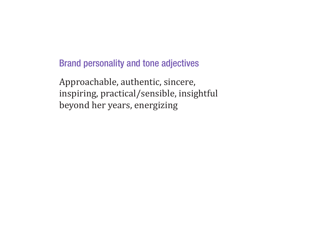Brand personality and tone adjectives

Approachable, authentic, sincere, inspiring, practical/sensible, insightful beyond her years, energizing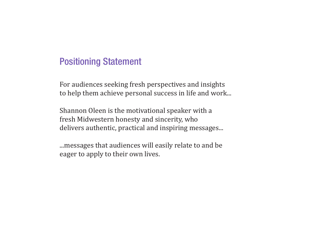### Positioning Statement

For audiences seeking fresh perspectives and insights to help them achieve personal success in life and work...

Shannon Oleen is the motivational speaker with a fresh Midwestern honesty and sincerity, who delivers authentic, practical and inspiring messages...

...messages that audiences will easily relate to and be eager to apply to their own lives.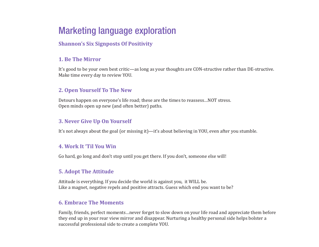# Marketing language exploration

#### **Shannon's Six Signposts Of Positivity**

#### **1. Be The Mirror**

It's good to be your own best critic—as long as your thoughts are CON-structive rather than DE-structive. Make time every day to review YOU.

#### **2. Open Yourself To The New**

Detours happen on everyone's life road; these are the times to reassess…NOT stress. Open minds open up new (and often better) paths.

#### **3. Never Give Up On Yourself**

It's not always about the goal (or missing it)—it's about believing in YOU, even after you stumble.

#### **4. Work It 'Til You Win**

Go hard, go long and don't stop until you get there. If you don't, someone else will!

#### **5. Adopt The Attitude**

Attitude is everything. If you decide the world is against you, it WILL be. Like a magnet, negative repels and positive attracts. Guess which end you want to be?

#### **6. Embrace The Moments**

Family, friends, perfect moments…never forget to slow down on your life road and appreciate them before they end up in your rear view mirror and disappear. Nurturing a healthy personal side helps bolster a successful professional side to create a complete YOU.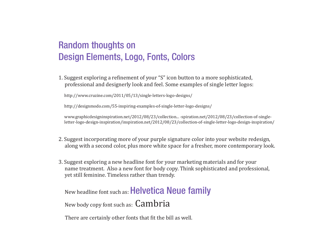# Random thoughts on Design Elements, Logo, Fonts, Colors

1. Suggest exploring a refinement of your "S" icon button to a more sophisticated, professional and designerly look and feel. Some examples of single letter logos:

http://www.cruzine.com/2011/05/13/single-letters-logo-designs/

http://designmodo.com/55-inspiring-examples-of-single-letter-logo-designs/

 www.graphicdesigninspiration.net/2012/08/23/collection... -spiration.net/2012/08/23/collection-of-single letter-logo-design-inspiration/inspiration.net/2012/08/23/collection-of-single-letter-logo-design-inspiration/

- 2. Suggest incorporating more of your purple signature color into your website redesign, along with a second color, plus more white space for a fresher, more contemporary look.
- 3. Suggest exploring a new headline font for your marketing materials and for your name treatment. Also a new font for body copy. Think sophisticated and professional, yet still feminine. Timeless rather than trendy.

New headline font such as: Helvetica Neue family New body copy font such as: Cambria

There are certainly other fonts that fit the bill as well.